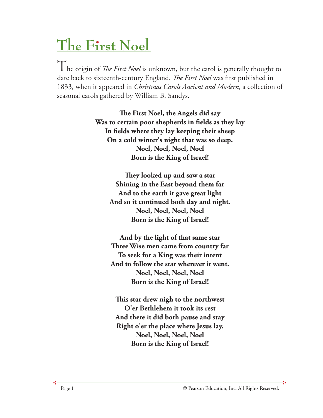## **The First Noel**

 $\int_{0}^{1} \int_{0}^{1}$  he origin of *The First Noel* is unknown, but the carol is generally thought to date back to sixteenth-century England. *The First Noel* was first published in 1833, when it appeared in *Christmas Carols Ancient and Modern*, a collection of seasonal carols gathered by William B. Sandys.

> **e First Noel, the Angels did say Was to certain poor shepherds in fields as they lay In fields where they lay keeping their sheep On a cold winter's night that was so deep. Noel, Noel, Noel, Noel Born is the King of Israel!**

**ey looked up and saw a star Shining in the East beyond them far And to the earth it gave great light And so it continued both day and night. Noel, Noel, Noel, Noel Born is the King of Israel!**

**And by the light of that same star Three Wise men came from country far To seek for a King was their intent And to follow the star wherever it went. Noel, Noel, Noel, Noel Born is the King of Israel!**

**is star drew nigh to the northwest O'er Bethlehem it took its rest And there it did both pause and stay Right o'er the place where Jesus lay. Noel, Noel, Noel, Noel Born is the King of Israel!**